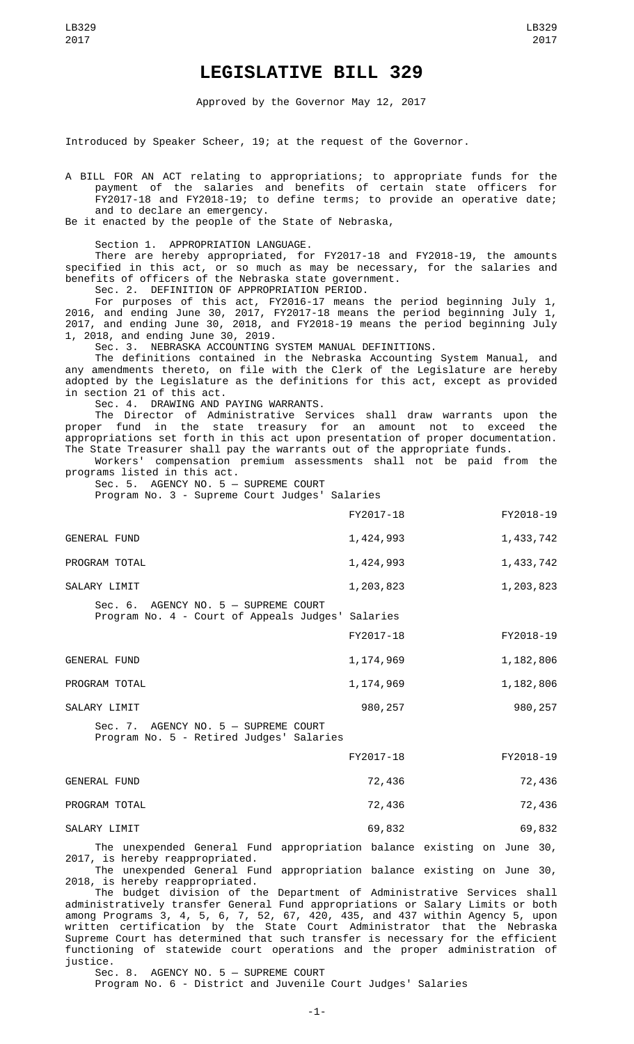## **LEGISLATIVE BILL 329**

Approved by the Governor May 12, 2017

Introduced by Speaker Scheer, 19; at the request of the Governor.

A BILL FOR AN ACT relating to appropriations; to appropriate funds for the payment of the salaries and benefits of certain state officers for FY2017-18 and FY2018-19; to define terms; to provide an operative date; and to declare an emergency.

Be it enacted by the people of the State of Nebraska,

Section 1. APPROPRIATION LANGUAGE.

There are hereby appropriated, for FY2017-18 and FY2018-19, the amounts specified in this act, or so much as may be necessary, for the salaries and benefits of officers of the Nebraska state government. Sec. 2. DEFINITION OF APPROPRIATION PERIOD.

For purposes of this act, FY2016-17 means the period beginning July 1, 2016, and ending June 30, 2017, FY2017-18 means the period beginning July 1, 2017, and ending June 30, 2018, and FY2018-19 means the period beginning July 1, 2018, and ending June 30, 2019.

Sec. 3. NEBRASKA ACCOUNTING SYSTEM MANUAL DEFINITIONS.

The definitions contained in the Nebraska Accounting System Manual, and any amendments thereto, on file with the Clerk of the Legislature are hereby adopted by the Legislature as the definitions for this act, except as provided in section 21 of this act.

Sec. 4. DRAWING AND PAYING WARRANTS.

The Director of Administrative Services shall draw warrants upon the proper fund in the state treasury for an amount not to exceed the appropriations set forth in this act upon presentation of proper documentation. The State Treasurer shall pay the warrants out of the appropriate funds.

Workers' compensation premium assessments shall not be paid from the programs listed in this act.

Sec. 5. AGENCY NO. 5 — SUPREME COURT Program No. 3 - Supreme Court Judges' Salaries

|                                                                                           | FY2017-18 | FY2018-19 |
|-------------------------------------------------------------------------------------------|-----------|-----------|
| <b>GENERAL FUND</b>                                                                       | 1,424,993 | 1,433,742 |
| PROGRAM TOTAL                                                                             | 1,424,993 | 1,433,742 |
| SALARY LIMIT                                                                              | 1,203,823 | 1,203,823 |
| Sec. 6. AGENCY NO. 5 - SUPREME COURT<br>Program No. 4 - Court of Appeals Judges' Salaries | FY2017-18 | FY2018-19 |
| <b>GENERAL FUND</b>                                                                       | 1,174,969 | 1,182,806 |
| PROGRAM TOTAL                                                                             | 1,174,969 | 1,182,806 |
| SALARY LIMIT                                                                              | 980,257   | 980,257   |
| $Sec. 7.$ AGENCY NO. $5 -$ SUPREME COURT                                                  |           |           |

Program No. 5 - Retired Judges' Salaries

|                     | FY2017-18 | FY2018-19 |
|---------------------|-----------|-----------|
| <b>GENERAL FUND</b> | 72,436    | 72,436    |
| PROGRAM TOTAL       | 72,436    | 72,436    |
| SALARY LIMIT        | 69,832    | 69,832    |

The unexpended General Fund appropriation balance existing on June 30, 2017, is hereby reappropriated.

The unexpended General Fund appropriation balance existing on June 30, 2018, is hereby reappropriated.

The budget division of the Department of Administrative Services shall administratively transfer General Fund appropriations or Salary Limits or both among Programs 3, 4, 5, 6, 7, 52, 67, 420, 435, and 437 within Agency 5, upon written certification by the State Court Administrator that the Nebraska Supreme Court has determined that such transfer is necessary for the efficient functioning of statewide court operations and the proper administration of justice.

Sec. 8. AGENCY NO. 5 — SUPREME COURT

Program No. 6 - District and Juvenile Court Judges' Salaries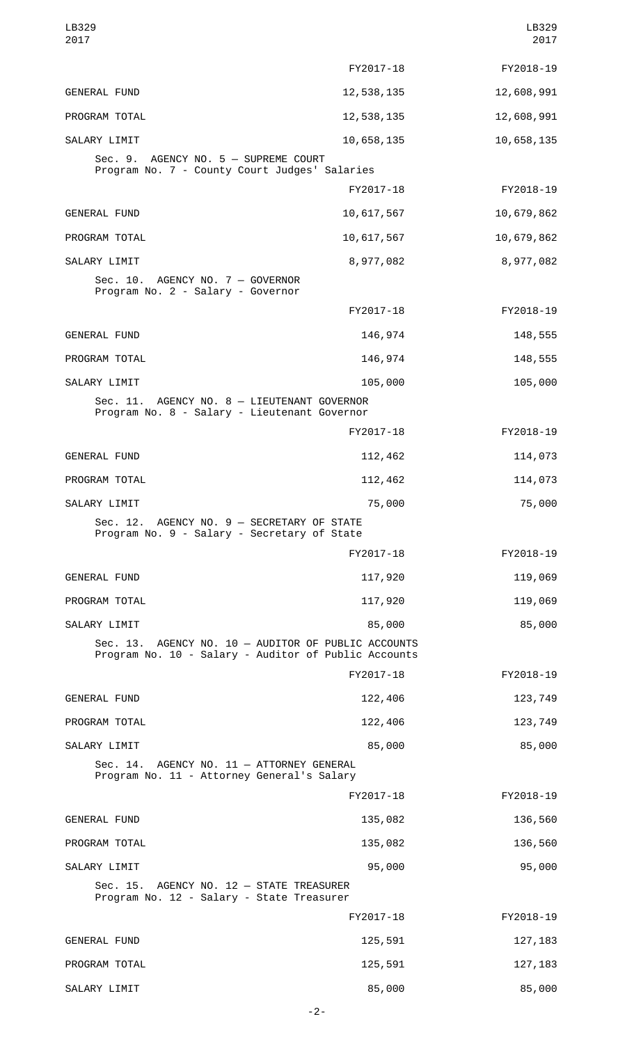| LB329<br>2017                                                                                               |            | LB329<br>2017 |
|-------------------------------------------------------------------------------------------------------------|------------|---------------|
|                                                                                                             | FY2017-18  | FY2018-19     |
| <b>GENERAL FUND</b>                                                                                         | 12,538,135 | 12,608,991    |
| PROGRAM TOTAL                                                                                               | 12,538,135 | 12,608,991    |
| SALARY LIMIT                                                                                                | 10,658,135 | 10,658,135    |
| Sec. 9. AGENCY NO. 5 - SUPREME COURT<br>Program No. 7 - County Court Judges' Salaries                       |            |               |
|                                                                                                             | FY2017-18  | FY2018-19     |
| <b>GENERAL FUND</b>                                                                                         | 10,617,567 | 10,679,862    |
| PROGRAM TOTAL                                                                                               | 10,617,567 | 10,679,862    |
| SALARY LIMIT                                                                                                | 8,977,082  | 8,977,082     |
| Sec. 10. AGENCY NO. 7 - GOVERNOR<br>Program No. 2 - Salary - Governor                                       |            |               |
|                                                                                                             | FY2017-18  | FY2018-19     |
| <b>GENERAL FUND</b>                                                                                         | 146,974    | 148,555       |
| PROGRAM TOTAL                                                                                               | 146,974    | 148,555       |
| SALARY LIMIT                                                                                                | 105,000    | 105,000       |
| Sec. 11. AGENCY NO. 8 - LIEUTENANT GOVERNOR<br>Program No. 8 - Salary - Lieutenant Governor                 |            |               |
|                                                                                                             | FY2017-18  | FY2018-19     |
| <b>GENERAL FUND</b>                                                                                         | 112,462    | 114,073       |
| PROGRAM TOTAL                                                                                               | 112,462    | 114,073       |
| SALARY LIMIT                                                                                                | 75,000     | 75,000        |
| Sec. 12. AGENCY NO. 9 - SECRETARY OF STATE<br>Program No. 9 - Salary - Secretary of State                   |            |               |
|                                                                                                             | FY2017-18  | FY2018-19     |
| <b>GENERAL FUND</b>                                                                                         | 117,920    | 119,069       |
| PROGRAM TOTAL                                                                                               | 117,920    | 119,069       |
| SALARY LIMIT                                                                                                | 85,000     | 85,000        |
| Sec. 13. AGENCY NO. 10 - AUDITOR OF PUBLIC ACCOUNTS<br>Program No. 10 - Salary - Auditor of Public Accounts |            |               |
|                                                                                                             | FY2017-18  | FY2018-19     |
| <b>GENERAL FUND</b>                                                                                         | 122,406    | 123,749       |
| PROGRAM TOTAL                                                                                               | 122,406    | 123,749       |
| SALARY LIMIT                                                                                                | 85,000     | 85,000        |
| Sec. 14. AGENCY NO. 11 - ATTORNEY GENERAL<br>Program No. 11 - Attorney General's Salary                     |            |               |
|                                                                                                             | FY2017-18  | FY2018-19     |
| <b>GENERAL FUND</b>                                                                                         | 135,082    | 136,560       |
| PROGRAM TOTAL                                                                                               | 135,082    | 136,560       |
| SALARY LIMIT                                                                                                | 95,000     | 95,000        |
| Sec. 15. AGENCY NO. 12 - STATE TREASURER<br>Program No. 12 - Salary - State Treasurer                       |            |               |
|                                                                                                             | FY2017-18  | FY2018-19     |
| <b>GENERAL FUND</b>                                                                                         | 125,591    | 127, 183      |
| PROGRAM TOTAL                                                                                               | 125,591    | 127, 183      |
| SALARY LIMIT                                                                                                | 85,000     | 85,000        |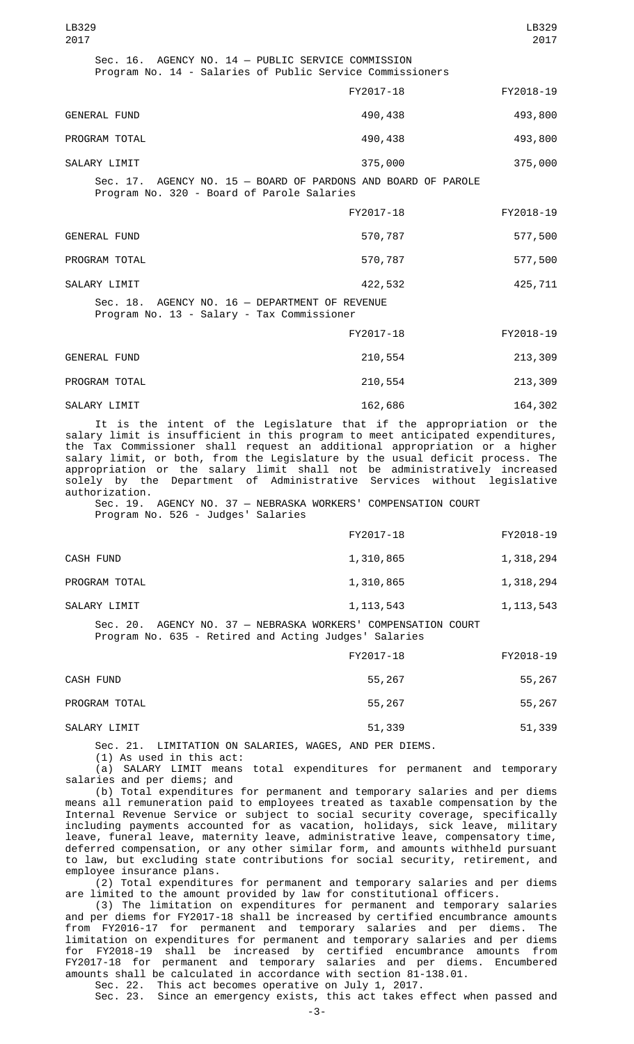| LB329<br>2017                                                                                                   |           | LB329<br>2017 |
|-----------------------------------------------------------------------------------------------------------------|-----------|---------------|
| Sec. 16. AGENCY NO. 14 - PUBLIC SERVICE COMMISSION<br>Program No. 14 - Salaries of Public Service Commissioners |           |               |
|                                                                                                                 | FY2017-18 | FY2018-19     |
| <b>GENERAL FUND</b>                                                                                             | 490,438   | 493,800       |
| PROGRAM TOTAL                                                                                                   | 490,438   | 493,800       |
| SALARY LIMIT                                                                                                    | 375,000   | 375,000       |
| Sec. 17. AGENCY NO. 15 - BOARD OF PARDONS AND BOARD OF PAROLE<br>Program No. 320 - Board of Parole Salaries     |           |               |
|                                                                                                                 | FY2017-18 | FY2018-19     |
| <b>GENERAL FUND</b>                                                                                             | 570,787   | 577,500       |
| PROGRAM TOTAL                                                                                                   | 570,787   | 577,500       |
| SALARY LIMIT                                                                                                    | 422,532   | 425,711       |
| Sec. 18. AGENCY NO. 16 - DEPARTMENT OF REVENUE<br>Program No. 13 - Salary - Tax Commissioner                    |           |               |
|                                                                                                                 | FY2017-18 | FY2018-19     |
| <b>GENERAL FUND</b>                                                                                             | 210,554   | 213,309       |
| PROGRAM TOTAL                                                                                                   | 210,554   | 213,309       |
| SALARY LIMIT                                                                                                    | 162,686   | 164,302       |

It is the intent of the Legislature that if the appropriation or the salary limit is insufficient in this program to meet anticipated expenditures, the Tax Commissioner shall request an additional appropriation or a higher salary limit, or both, from the Legislature by the usual deficit process. The appropriation or the salary limit shall not be administratively increased solely by the Department of Administrative Services without legislative authorization.

Sec. 19. AGENCY NO. 37 — NEBRASKA WORKERS' COMPENSATION COURT Program No. 526 - Judges' Salaries

|               | FY2017-18   | FY2018-19   |
|---------------|-------------|-------------|
| CASH FUND     | 1,310,865   | 1,318,294   |
| PROGRAM TOTAL | 1,310,865   | 1,318,294   |
| SALARY LIMIT  | 1, 113, 543 | 1, 113, 543 |
|               |             |             |

Sec. 20. AGENCY NO. 37 — NEBRASKA WORKERS' COMPENSATION COURT Program No. 635 - Retired and Acting Judges' Salaries

|                          | FY2017-18                              | FY2018-19 |
|--------------------------|----------------------------------------|-----------|
| CASH FUND                | 55,267                                 | 55,267    |
| PROGRAM TOTAL            | 55,267                                 | 55,267    |
| SALARY LIMIT             | 51,339                                 | 51,339    |
| .<br>. ===.==^ ^ ^ . ==^ | $\cdots$<br>$ - - - - - - - - - - - -$ |           |

Sec. 21. LIMITATION ON SALARIES, WAGES, AND PER DIEMS. (1) As used in this act:

(a) SALARY LIMIT means total expenditures for permanent and temporary salaries and per diems; and

(b) Total expenditures for permanent and temporary salaries and per diems means all remuneration paid to employees treated as taxable compensation by the Internal Revenue Service or subject to social security coverage, specifically including payments accounted for as vacation, holidays, sick leave, military leave, funeral leave, maternity leave, administrative leave, compensatory time, deferred compensation, or any other similar form, and amounts withheld pursuant to law, but excluding state contributions for social security, retirement, and employee insurance plans.

(2) Total expenditures for permanent and temporary salaries and per diems are limited to the amount provided by law for constitutional officers.

(3) The limitation on expenditures for permanent and temporary salaries and per diems for FY2017-18 shall be increased by certified encumbrance amounts from FY2016-17 for permanent and temporary salaries and per diems. The limitation on expenditures for permanent and temporary salaries and per diems for FY2018-19 shall be increased by certified encumbrance amounts from FY2017-18 for permanent and temporary salaries and per diems. Encumbered amounts shall be calculated in accordance with section 81-138.01.

Sec. 22. This act becomes operative on July 1, 2017. Sec. 23. Since an emergency exists, this act takes effect when passed and